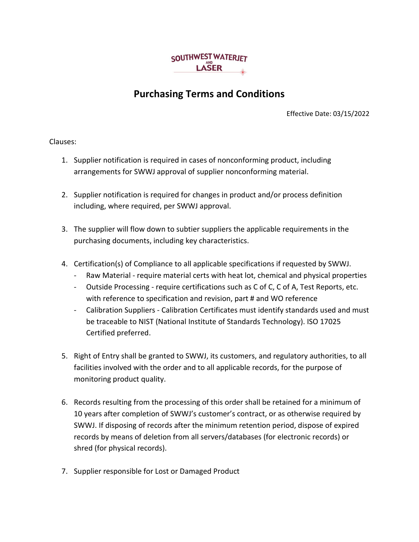

## **Purchasing Terms and Conditions**

Effective Date: 03/15/2022

Clauses:

- 1. Supplier notification is required in cases of nonconforming product, including arrangements for SWWJ approval of supplier nonconforming material.
- 2. Supplier notification is required for changes in product and/or process definition including, where required, per SWWJ approval.
- 3. The supplier will flow down to subtier suppliers the applicable requirements in the purchasing documents, including key characteristics.
- 4. Certification(s) of Compliance to all applicable specifications if requested by SWWJ.
	- Raw Material require material certs with heat lot, chemical and physical properties
	- Outside Processing require certifications such as C of C, C of A, Test Reports, etc. with reference to specification and revision, part # and WO reference
	- Calibration Suppliers Calibration Certificates must identify standards used and must be traceable to NIST (National Institute of Standards Technology). ISO 17025 Certified preferred.
- 5. Right of Entry shall be granted to SWWJ, its customers, and regulatory authorities, to all facilities involved with the order and to all applicable records, for the purpose of monitoring product quality.
- 6. Records resulting from the processing of this order shall be retained for a minimum of 10 years after completion of SWWJ's customer's contract, or as otherwise required by SWWJ. If disposing of records after the minimum retention period, dispose of expired records by means of deletion from all servers/databases (for electronic records) or shred (for physical records).
- 7. Supplier responsible for Lost or Damaged Product